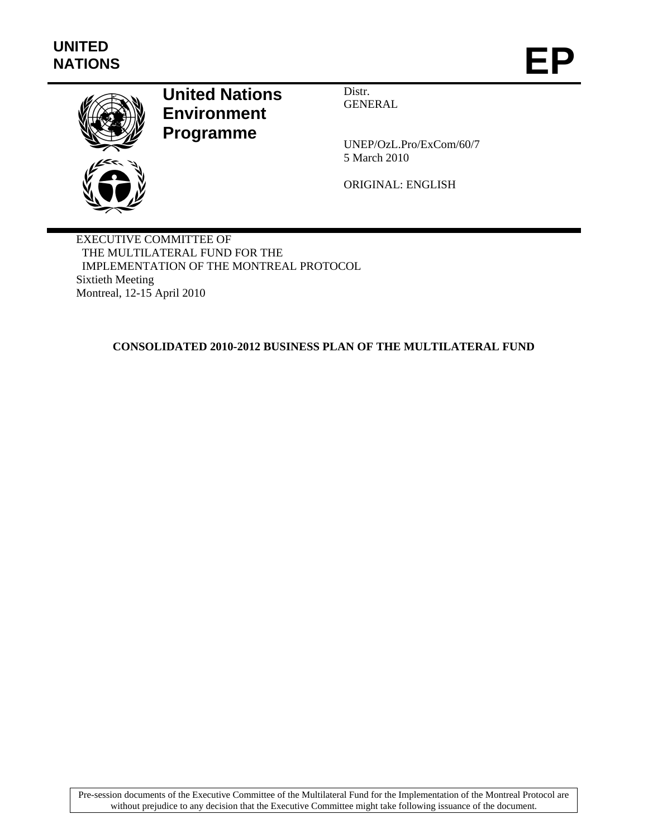

# **United Nations Environment Programme**

Distr. GENERAL

UNEP/OzL.Pro/ExCom/60/7 5 March 2010

ORIGINAL: ENGLISH

EXECUTIVE COMMITTEE OF THE MULTILATERAL FUND FOR THE IMPLEMENTATION OF THE MONTREAL PROTOCOL Sixtieth Meeting Montreal, 12-15 April 2010

**CONSOLIDATED 2010-2012 BUSINESS PLAN OF THE MULTILATERAL FUND** 

Pre-session documents of the Executive Committee of the Multilateral Fund for the Implementation of the Montreal Protocol are without prejudice to any decision that the Executive Committee might take following issuance of the document.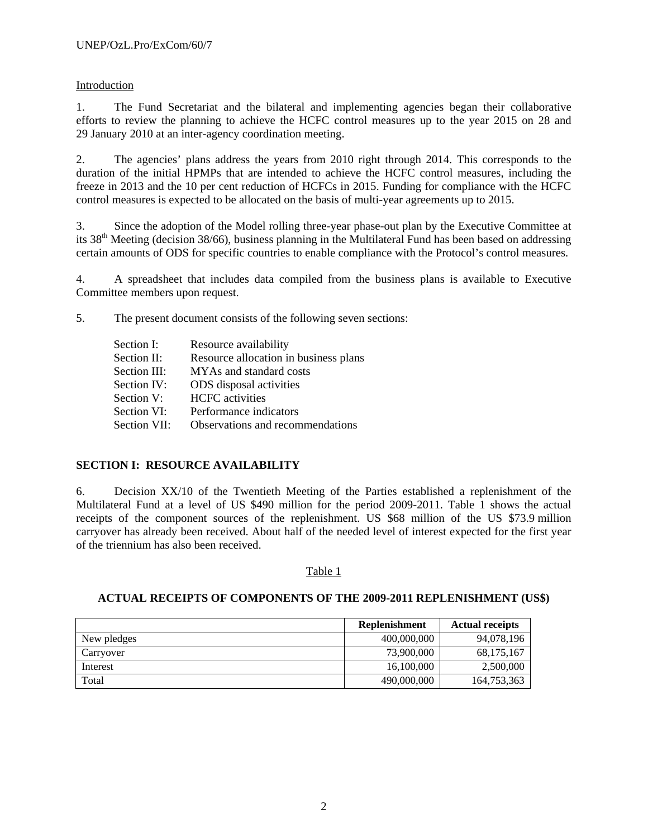## Introduction

1. The Fund Secretariat and the bilateral and implementing agencies began their collaborative efforts to review the planning to achieve the HCFC control measures up to the year 2015 on 28 and 29 January 2010 at an inter-agency coordination meeting.

2. The agencies' plans address the years from 2010 right through 2014. This corresponds to the duration of the initial HPMPs that are intended to achieve the HCFC control measures, including the freeze in 2013 and the 10 per cent reduction of HCFCs in 2015. Funding for compliance with the HCFC control measures is expected to be allocated on the basis of multi-year agreements up to 2015.

3. Since the adoption of the Model rolling three-year phase-out plan by the Executive Committee at its 38th Meeting (decision 38/66), business planning in the Multilateral Fund has been based on addressing certain amounts of ODS for specific countries to enable compliance with the Protocol's control measures.

4. A spreadsheet that includes data compiled from the business plans is available to Executive Committee members upon request.

5. The present document consists of the following seven sections:

| Section I:   | Resource availability                 |
|--------------|---------------------------------------|
| Section II:  | Resource allocation in business plans |
| Section III: | MYAs and standard costs               |
| Section IV:  | ODS disposal activities               |
| Section V:   | <b>HCFC</b> activities                |
| Section VI:  | Performance indicators                |
| Section VII: | Observations and recommendations      |

## **SECTION I: RESOURCE AVAILABILITY**

6. Decision XX/10 of the Twentieth Meeting of the Parties established a replenishment of the Multilateral Fund at a level of US \$490 million for the period 2009-2011. Table 1 shows the actual receipts of the component sources of the replenishment. US \$68 million of the US \$73.9 million carryover has already been received. About half of the needed level of interest expected for the first year of the triennium has also been received.

### Table 1

### **ACTUAL RECEIPTS OF COMPONENTS OF THE 2009-2011 REPLENISHMENT (US\$)**

|             | <b>Replenishment</b> | <b>Actual receipts</b> |
|-------------|----------------------|------------------------|
| New pledges | 400,000,000          | 94,078,196             |
| Carryover   | 73,900,000           | 68,175,167             |
| Interest    | 16,100,000           | 2,500,000              |
| Total       | 490,000,000          | 164,753,363            |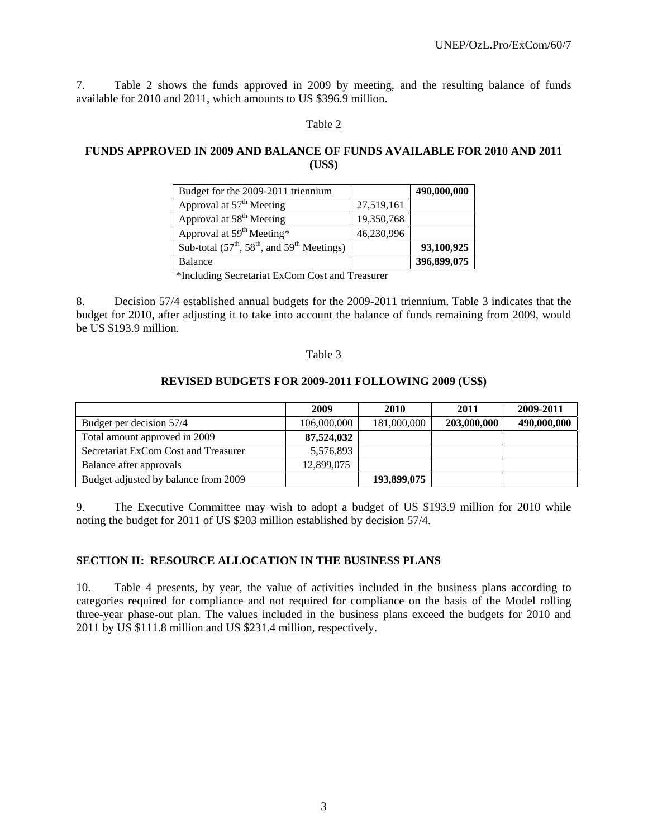7. Table 2 shows the funds approved in 2009 by meeting, and the resulting balance of funds available for 2010 and 2011, which amounts to US \$396.9 million.

#### Table 2

#### **FUNDS APPROVED IN 2009 AND BALANCE OF FUNDS AVAILABLE FOR 2010 AND 2011 (US\$)**

| Budget for the 2009-2011 triennium            |            | 490,000,000 |
|-----------------------------------------------|------------|-------------|
| Approval at 57 <sup>th</sup> Meeting          | 27,519,161 |             |
| Approval at 58 <sup>th</sup> Meeting          | 19,350,768 |             |
| Approval at $59th Meeting*$                   | 46,230,996 |             |
| Sub-total $(57th, 58th,$ and $59th$ Meetings) |            | 93,100,925  |
| Balance                                       |            | 396,899,075 |

\*Including Secretariat ExCom Cost and Treasurer

8. Decision 57/4 established annual budgets for the 2009-2011 triennium. Table 3 indicates that the budget for 2010, after adjusting it to take into account the balance of funds remaining from 2009, would be US \$193.9 million.

#### Table 3

#### **REVISED BUDGETS FOR 2009-2011 FOLLOWING 2009 (US\$)**

|                                      | 2009        | 2010        | 2011        | 2009-2011   |
|--------------------------------------|-------------|-------------|-------------|-------------|
| Budget per decision 57/4             | 106,000,000 | 181,000,000 | 203,000,000 | 490,000,000 |
| Total amount approved in 2009        | 87,524,032  |             |             |             |
| Secretariat ExCom Cost and Treasurer | 5,576,893   |             |             |             |
| Balance after approvals              | 12,899,075  |             |             |             |
| Budget adjusted by balance from 2009 |             | 193,899,075 |             |             |

9. The Executive Committee may wish to adopt a budget of US \$193.9 million for 2010 while noting the budget for 2011 of US \$203 million established by decision 57/4.

#### **SECTION II: RESOURCE ALLOCATION IN THE BUSINESS PLANS**

10. Table 4 presents, by year, the value of activities included in the business plans according to categories required for compliance and not required for compliance on the basis of the Model rolling three-year phase-out plan. The values included in the business plans exceed the budgets for 2010 and 2011 by US \$111.8 million and US \$231.4 million, respectively.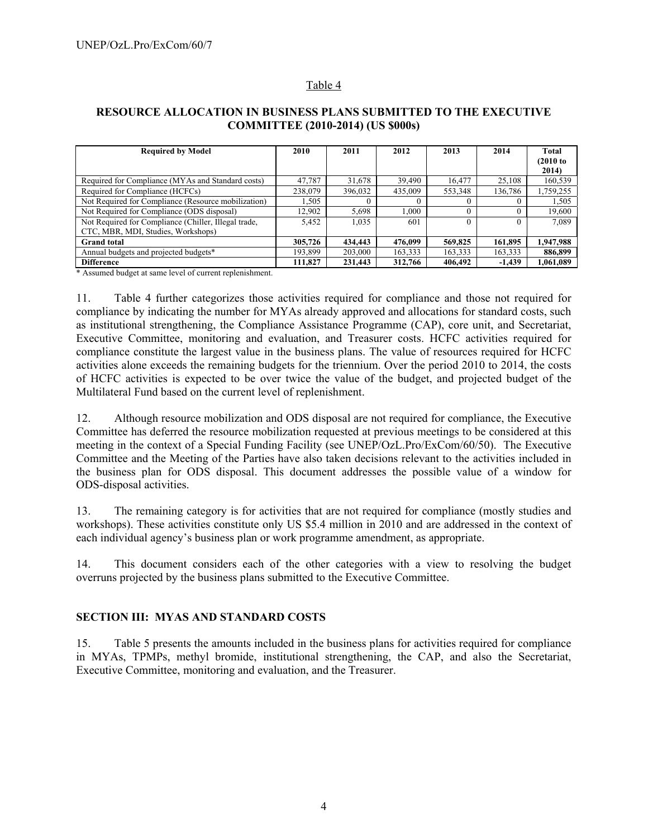## Table 4

## **RESOURCE ALLOCATION IN BUSINESS PLANS SUBMITTED TO THE EXECUTIVE COMMITTEE (2010-2014) (US \$000s)**

| <b>Required by Model</b>                             | 2010    | 2011    | 2012    | 2013    | 2014     | Total       |
|------------------------------------------------------|---------|---------|---------|---------|----------|-------------|
|                                                      |         |         |         |         |          | $(2010)$ to |
|                                                      |         |         |         |         |          | 2014)       |
| Required for Compliance (MYAs and Standard costs)    | 47,787  | 31,678  | 39,490  | 16.477  | 25,108   | 160,539     |
| Required for Compliance (HCFCs)                      | 238,079 | 396,032 | 435,009 | 553,348 | 136,786  | 1,759,255   |
| Not Required for Compliance (Resource mobilization)  | 1,505   |         |         |         |          | 1,505       |
| Not Required for Compliance (ODS disposal)           | 12.902  | 5.698   | 1.000   |         | $_{0}$   | 19,600      |
| Not Required for Compliance (Chiller, Illegal trade, | 5.452   | 1,035   | 601     |         | 0        | 7.089       |
| CTC, MBR, MDI, Studies, Workshops)                   |         |         |         |         |          |             |
| <b>Grand</b> total                                   | 305,726 | 434,443 | 476.099 | 569,825 | 161,895  | 1,947,988   |
| Annual budgets and projected budgets*                | 193,899 | 203,000 | 163,333 | 163,333 | 163,333  | 886,899     |
| <b>Difference</b>                                    | 111,827 | 231,443 | 312,766 | 406,492 | $-1,439$ | 1,061,089   |

\* Assumed budget at same level of current replenishment.

11. Table 4 further categorizes those activities required for compliance and those not required for compliance by indicating the number for MYAs already approved and allocations for standard costs, such as institutional strengthening, the Compliance Assistance Programme (CAP), core unit, and Secretariat, Executive Committee, monitoring and evaluation, and Treasurer costs. HCFC activities required for compliance constitute the largest value in the business plans. The value of resources required for HCFC activities alone exceeds the remaining budgets for the triennium. Over the period 2010 to 2014, the costs of HCFC activities is expected to be over twice the value of the budget, and projected budget of the Multilateral Fund based on the current level of replenishment.

12. Although resource mobilization and ODS disposal are not required for compliance, the Executive Committee has deferred the resource mobilization requested at previous meetings to be considered at this meeting in the context of a Special Funding Facility (see UNEP/OzL.Pro/ExCom/60/50). The Executive Committee and the Meeting of the Parties have also taken decisions relevant to the activities included in the business plan for ODS disposal. This document addresses the possible value of a window for ODS-disposal activities.

13. The remaining category is for activities that are not required for compliance (mostly studies and workshops). These activities constitute only US \$5.4 million in 2010 and are addressed in the context of each individual agency's business plan or work programme amendment, as appropriate.

14. This document considers each of the other categories with a view to resolving the budget overruns projected by the business plans submitted to the Executive Committee.

## **SECTION III: MYAS AND STANDARD COSTS**

15. Table 5 presents the amounts included in the business plans for activities required for compliance in MYAs, TPMPs, methyl bromide, institutional strengthening, the CAP, and also the Secretariat, Executive Committee, monitoring and evaluation, and the Treasurer.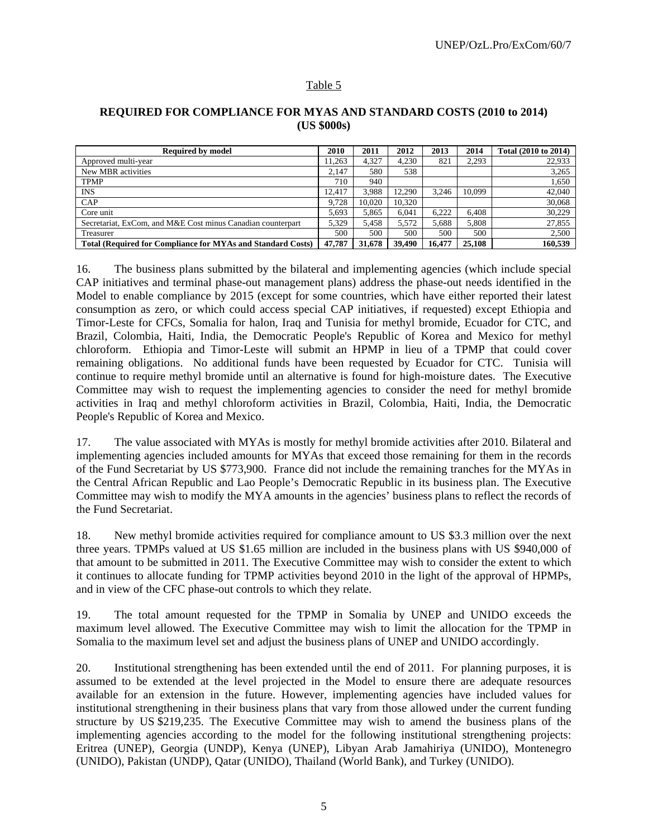## Table 5

#### **REQUIRED FOR COMPLIANCE FOR MYAS AND STANDARD COSTS (2010 to 2014) (US \$000s)**

| <b>Required by model</b>                                           | 2010   | 2011   | 2012   | 2013   | 2014   | Total (2010 to 2014) |
|--------------------------------------------------------------------|--------|--------|--------|--------|--------|----------------------|
| Approved multi-year                                                | 1.263  | 4.327  | 4.230  | 821    | 2.293  | 22,933               |
| New MBR activities                                                 | 2.147  | 580    | 538    |        |        | 3,265                |
| <b>TPMP</b>                                                        | 710    | 940    |        |        |        | 1,650                |
| <b>INS</b>                                                         | 12.417 | 3.988  | 12.290 | 3.246  | 10.099 | 42,040               |
| CAP                                                                | 9.728  | 10.020 | 10.320 |        |        | 30,068               |
| Core unit                                                          | 5.693  | 5.865  | 6.041  | 6.222  | 6.408  | 30.229               |
| Secretariat, ExCom. and M&E Cost minus Canadian counterpart        | 5.329  | 5.458  | 5.572  | 5.688  | 5.808  | 27,855               |
| Treasurer                                                          | 500    | 500    | 500    | 500    | 500    | 2.500                |
| <b>Total (Required for Compliance for MYAs and Standard Costs)</b> | 47,787 | 31,678 | 39,490 | 16.477 | 25,108 | 160,539              |

16. The business plans submitted by the bilateral and implementing agencies (which include special CAP initiatives and terminal phase-out management plans) address the phase-out needs identified in the Model to enable compliance by 2015 (except for some countries, which have either reported their latest consumption as zero, or which could access special CAP initiatives, if requested) except Ethiopia and Timor-Leste for CFCs, Somalia for halon, Iraq and Tunisia for methyl bromide, Ecuador for CTC, and Brazil, Colombia, Haiti, India, the Democratic People's Republic of Korea and Mexico for methyl chloroform. Ethiopia and Timor-Leste will submit an HPMP in lieu of a TPMP that could cover remaining obligations. No additional funds have been requested by Ecuador for CTC. Tunisia will continue to require methyl bromide until an alternative is found for high-moisture dates. The Executive Committee may wish to request the implementing agencies to consider the need for methyl bromide activities in Iraq and methyl chloroform activities in Brazil, Colombia, Haiti, India, the Democratic People's Republic of Korea and Mexico.

17. The value associated with MYAs is mostly for methyl bromide activities after 2010. Bilateral and implementing agencies included amounts for MYAs that exceed those remaining for them in the records of the Fund Secretariat by US \$773,900. France did not include the remaining tranches for the MYAs in the Central African Republic and Lao People's Democratic Republic in its business plan. The Executive Committee may wish to modify the MYA amounts in the agencies' business plans to reflect the records of the Fund Secretariat.

18. New methyl bromide activities required for compliance amount to US \$3.3 million over the next three years. TPMPs valued at US \$1.65 million are included in the business plans with US \$940,000 of that amount to be submitted in 2011. The Executive Committee may wish to consider the extent to which it continues to allocate funding for TPMP activities beyond 2010 in the light of the approval of HPMPs, and in view of the CFC phase-out controls to which they relate.

19. The total amount requested for the TPMP in Somalia by UNEP and UNIDO exceeds the maximum level allowed. The Executive Committee may wish to limit the allocation for the TPMP in Somalia to the maximum level set and adjust the business plans of UNEP and UNIDO accordingly.

20. Institutional strengthening has been extended until the end of 2011. For planning purposes, it is assumed to be extended at the level projected in the Model to ensure there are adequate resources available for an extension in the future. However, implementing agencies have included values for institutional strengthening in their business plans that vary from those allowed under the current funding structure by US \$219,235. The Executive Committee may wish to amend the business plans of the implementing agencies according to the model for the following institutional strengthening projects: Eritrea (UNEP), Georgia (UNDP), Kenya (UNEP), Libyan Arab Jamahiriya (UNIDO), Montenegro (UNIDO), Pakistan (UNDP), Qatar (UNIDO), Thailand (World Bank), and Turkey (UNIDO).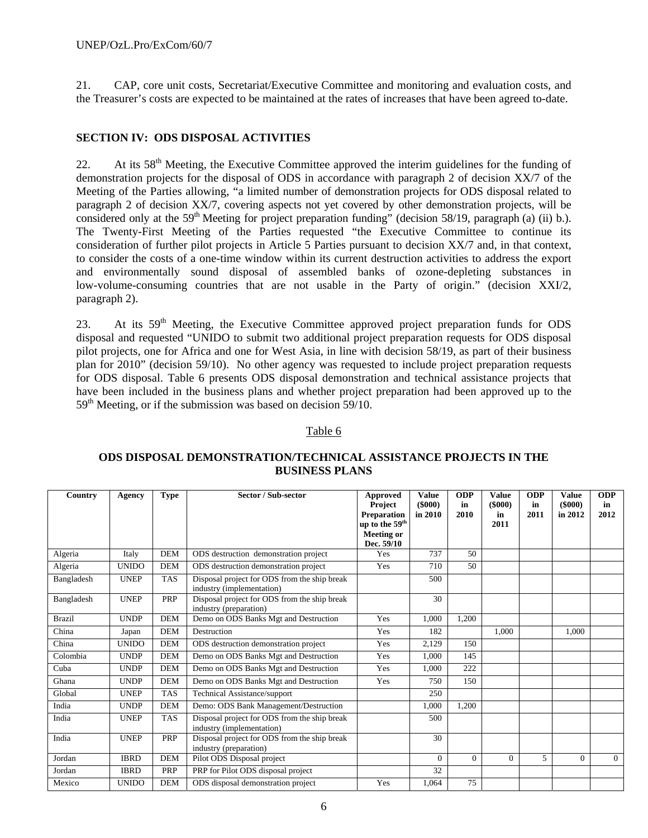21. CAP, core unit costs, Secretariat/Executive Committee and monitoring and evaluation costs, and the Treasurer's costs are expected to be maintained at the rates of increases that have been agreed to-date.

## **SECTION IV: ODS DISPOSAL ACTIVITIES**

22. At its 58<sup>th</sup> Meeting, the Executive Committee approved the interim guidelines for the funding of demonstration projects for the disposal of ODS in accordance with paragraph 2 of decision XX/7 of the Meeting of the Parties allowing, "a limited number of demonstration projects for ODS disposal related to paragraph 2 of decision XX/7, covering aspects not yet covered by other demonstration projects, will be considered only at the 59<sup>th</sup> Meeting for project preparation funding" (decision 58/19, paragraph (a) (ii) b.). The Twenty-First Meeting of the Parties requested "the Executive Committee to continue its consideration of further pilot projects in Article 5 Parties pursuant to decision XX/7 and, in that context, to consider the costs of a one-time window within its current destruction activities to address the export and environmentally sound disposal of assembled banks of ozone-depleting substances in low-volume-consuming countries that are not usable in the Party of origin." (decision XXI/2, paragraph 2).

23. At its 59<sup>th</sup> Meeting, the Executive Committee approved project preparation funds for ODS disposal and requested "UNIDO to submit two additional project preparation requests for ODS disposal pilot projects, one for Africa and one for West Asia, in line with decision 58/19, as part of their business plan for 2010" (decision 59/10). No other agency was requested to include project preparation requests for ODS disposal. Table 6 presents ODS disposal demonstration and technical assistance projects that have been included in the business plans and whether project preparation had been approved up to the  $59<sup>th</sup>$  Meeting, or if the submission was based on decision  $59/10$ .

### Table 6

## **ODS DISPOSAL DEMONSTRATION/TECHNICAL ASSISTANCE PROJECTS IN THE BUSINESS PLANS**

| Country       | Agency       | <b>Type</b> | Sector / Sub-sector                                                       | Approved<br><b>Project</b><br><b>Preparation</b><br>up to the 59 <sup>th</sup> | <b>Value</b><br>$($ \$000 $)$<br>in 2010 | <b>ODP</b><br>in<br>2010 | Value<br>$($ \$000 $)$<br>in<br>2011 | <b>ODP</b><br>in<br>2011 | <b>Value</b><br>$($ \$000 $)$<br>in 2012 | <b>ODP</b><br>in<br>2012 |
|---------------|--------------|-------------|---------------------------------------------------------------------------|--------------------------------------------------------------------------------|------------------------------------------|--------------------------|--------------------------------------|--------------------------|------------------------------------------|--------------------------|
|               |              |             |                                                                           | <b>Meeting or</b><br>Dec. 59/10                                                |                                          |                          |                                      |                          |                                          |                          |
| Algeria       | Italy        | <b>DEM</b>  | ODS destruction demonstration project                                     | Yes                                                                            | 737                                      | 50                       |                                      |                          |                                          |                          |
| Algeria       | <b>UNIDO</b> | <b>DEM</b>  | ODS destruction demonstration project                                     | Yes                                                                            | 710                                      | 50                       |                                      |                          |                                          |                          |
| Bangladesh    | <b>UNEP</b>  | <b>TAS</b>  | Disposal project for ODS from the ship break<br>industry (implementation) |                                                                                | 500                                      |                          |                                      |                          |                                          |                          |
| Bangladesh    | <b>UNEP</b>  | PRP         | Disposal project for ODS from the ship break<br>industry (preparation)    |                                                                                | 30                                       |                          |                                      |                          |                                          |                          |
| <b>Brazil</b> | <b>UNDP</b>  | <b>DEM</b>  | Demo on ODS Banks Mgt and Destruction                                     | Yes                                                                            | 1,000                                    | 1,200                    |                                      |                          |                                          |                          |
| China         | Japan        | <b>DEM</b>  | Destruction                                                               | Yes                                                                            | 182                                      |                          | 1,000                                |                          | 1,000                                    |                          |
| China         | <b>UNIDO</b> | <b>DEM</b>  | ODS destruction demonstration project                                     | Yes                                                                            | 2,129                                    | 150                      |                                      |                          |                                          |                          |
| Colombia      | <b>UNDP</b>  | <b>DEM</b>  | Demo on ODS Banks Mgt and Destruction                                     | Yes                                                                            | 1.000                                    | 145                      |                                      |                          |                                          |                          |
| Cuba          | <b>UNDP</b>  | <b>DEM</b>  | Demo on ODS Banks Mgt and Destruction                                     | Yes                                                                            | 1.000                                    | 222                      |                                      |                          |                                          |                          |
| Ghana         | <b>UNDP</b>  | <b>DEM</b>  | Demo on ODS Banks Mgt and Destruction                                     | Yes                                                                            | 750                                      | 150                      |                                      |                          |                                          |                          |
| Global        | <b>UNEP</b>  | <b>TAS</b>  | Technical Assistance/support                                              |                                                                                | 250                                      |                          |                                      |                          |                                          |                          |
| India         | <b>UNDP</b>  | <b>DEM</b>  | Demo: ODS Bank Management/Destruction                                     |                                                                                | 1.000                                    | 1,200                    |                                      |                          |                                          |                          |
| India         | <b>UNEP</b>  | <b>TAS</b>  | Disposal project for ODS from the ship break<br>industry (implementation) |                                                                                | 500                                      |                          |                                      |                          |                                          |                          |
| India         | <b>UNEP</b>  | PRP         | Disposal project for ODS from the ship break<br>industry (preparation)    |                                                                                | 30                                       |                          |                                      |                          |                                          |                          |
| Jordan        | <b>IBRD</b>  | <b>DEM</b>  | Pilot ODS Disposal project                                                |                                                                                | $\Omega$                                 | $\Omega$                 | $\Omega$                             | 5                        | $\Omega$                                 | $\Omega$                 |
| Jordan        | <b>IBRD</b>  | PRP         | PRP for Pilot ODS disposal project                                        |                                                                                | 32                                       |                          |                                      |                          |                                          |                          |
| Mexico        | <b>UNIDO</b> | <b>DEM</b>  | ODS disposal demonstration project                                        | Yes                                                                            | 1,064                                    | 75                       |                                      |                          |                                          |                          |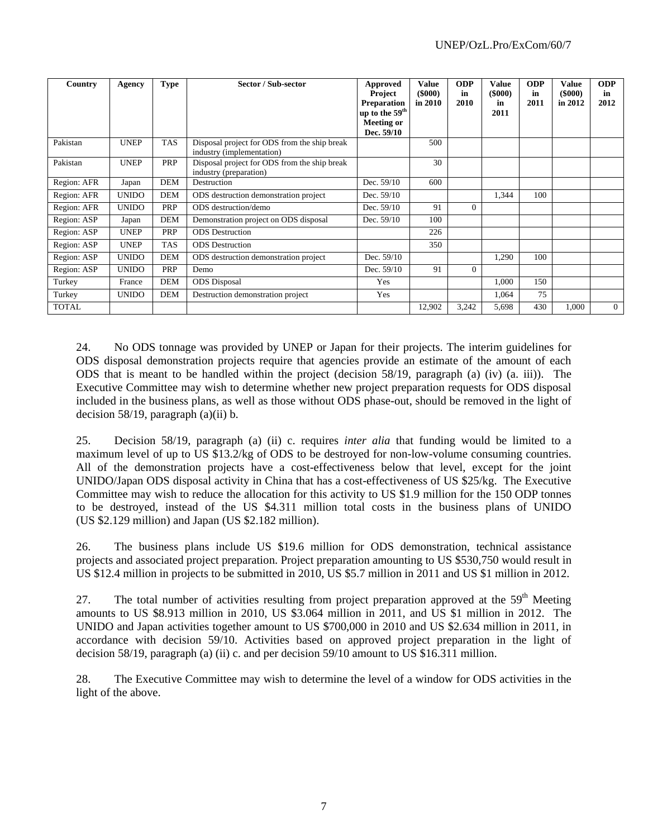| Country      | Agency       | Type       | Sector / Sub-sector                                                       | Approved<br><b>Project</b><br><b>Preparation</b><br>up to the 59 <sup>th</sup><br><b>Meeting or</b><br>Dec. 59/10 | Value<br>$($ \$000 $)$<br>in 2010 | <b>ODP</b><br>in<br>2010 | <b>Value</b><br>$($ \$000 $)$<br>in<br>2011 | <b>ODP</b><br>in<br>2011 | Value<br>$($ \$000 $)$<br>in 2012 | <b>ODP</b><br>in<br>2012 |
|--------------|--------------|------------|---------------------------------------------------------------------------|-------------------------------------------------------------------------------------------------------------------|-----------------------------------|--------------------------|---------------------------------------------|--------------------------|-----------------------------------|--------------------------|
| Pakistan     | <b>UNEP</b>  | <b>TAS</b> | Disposal project for ODS from the ship break<br>industry (implementation) |                                                                                                                   | 500                               |                          |                                             |                          |                                   |                          |
| Pakistan     | <b>UNEP</b>  | PRP        | Disposal project for ODS from the ship break<br>industry (preparation)    |                                                                                                                   | 30                                |                          |                                             |                          |                                   |                          |
| Region: AFR  | Japan        | <b>DEM</b> | Destruction                                                               | Dec. 59/10                                                                                                        | 600                               |                          |                                             |                          |                                   |                          |
| Region: AFR  | <b>UNIDO</b> | <b>DEM</b> | ODS destruction demonstration project                                     | Dec. $59/10$                                                                                                      |                                   |                          | 1,344                                       | 100                      |                                   |                          |
| Region: AFR  | <b>UNIDO</b> | PRP        | ODS destruction/demo                                                      | Dec. $59/10$                                                                                                      | 91                                | $\Omega$                 |                                             |                          |                                   |                          |
| Region: ASP  | Japan        | <b>DEM</b> | Demonstration project on ODS disposal                                     | Dec. 59/10                                                                                                        | 100                               |                          |                                             |                          |                                   |                          |
| Region: ASP  | <b>UNEP</b>  | PRP        | <b>ODS</b> Destruction                                                    |                                                                                                                   | 226                               |                          |                                             |                          |                                   |                          |
| Region: ASP  | <b>UNEP</b>  | <b>TAS</b> | <b>ODS</b> Destruction                                                    |                                                                                                                   | 350                               |                          |                                             |                          |                                   |                          |
| Region: ASP  | <b>UNIDO</b> | <b>DEM</b> | ODS destruction demonstration project                                     | Dec. 59/10                                                                                                        |                                   |                          | 1,290                                       | 100                      |                                   |                          |
| Region: ASP  | <b>UNIDO</b> | PRP        | Demo                                                                      | Dec. 59/10                                                                                                        | 91                                | $\Omega$                 |                                             |                          |                                   |                          |
| Turkey       | France       | DEM        | <b>ODS</b> Disposal                                                       | Yes                                                                                                               |                                   |                          | 1,000                                       | 150                      |                                   |                          |
| Turkey       | <b>UNIDO</b> | <b>DEM</b> | Destruction demonstration project                                         | Yes                                                                                                               |                                   |                          | 1,064                                       | 75                       |                                   |                          |
| <b>TOTAL</b> |              |            |                                                                           |                                                                                                                   | 12,902                            | 3,242                    | 5,698                                       | 430                      | 1,000                             | $\Omega$                 |

24. No ODS tonnage was provided by UNEP or Japan for their projects. The interim guidelines for ODS disposal demonstration projects require that agencies provide an estimate of the amount of each ODS that is meant to be handled within the project (decision 58/19, paragraph (a) (iv) (a. iii)). The Executive Committee may wish to determine whether new project preparation requests for ODS disposal included in the business plans, as well as those without ODS phase-out, should be removed in the light of decision  $58/19$ , paragraph (a)(ii) b.

25. Decision 58/19, paragraph (a) (ii) c. requires *inter alia* that funding would be limited to a maximum level of up to US \$13.2/kg of ODS to be destroyed for non-low-volume consuming countries. All of the demonstration projects have a cost-effectiveness below that level, except for the joint UNIDO/Japan ODS disposal activity in China that has a cost-effectiveness of US \$25/kg. The Executive Committee may wish to reduce the allocation for this activity to US \$1.9 million for the 150 ODP tonnes to be destroyed, instead of the US \$4.311 million total costs in the business plans of UNIDO (US \$2.129 million) and Japan (US \$2.182 million).

26. The business plans include US \$19.6 million for ODS demonstration, technical assistance projects and associated project preparation. Project preparation amounting to US \$530,750 would result in US \$12.4 million in projects to be submitted in 2010, US \$5.7 million in 2011 and US \$1 million in 2012.

27. The total number of activities resulting from project preparation approved at the 59<sup>th</sup> Meeting amounts to US \$8.913 million in 2010, US \$3.064 million in 2011, and US \$1 million in 2012. The UNIDO and Japan activities together amount to US \$700,000 in 2010 and US \$2.634 million in 2011, in accordance with decision 59/10. Activities based on approved project preparation in the light of decision 58/19, paragraph (a) (ii) c. and per decision 59/10 amount to US \$16.311 million.

28. The Executive Committee may wish to determine the level of a window for ODS activities in the light of the above.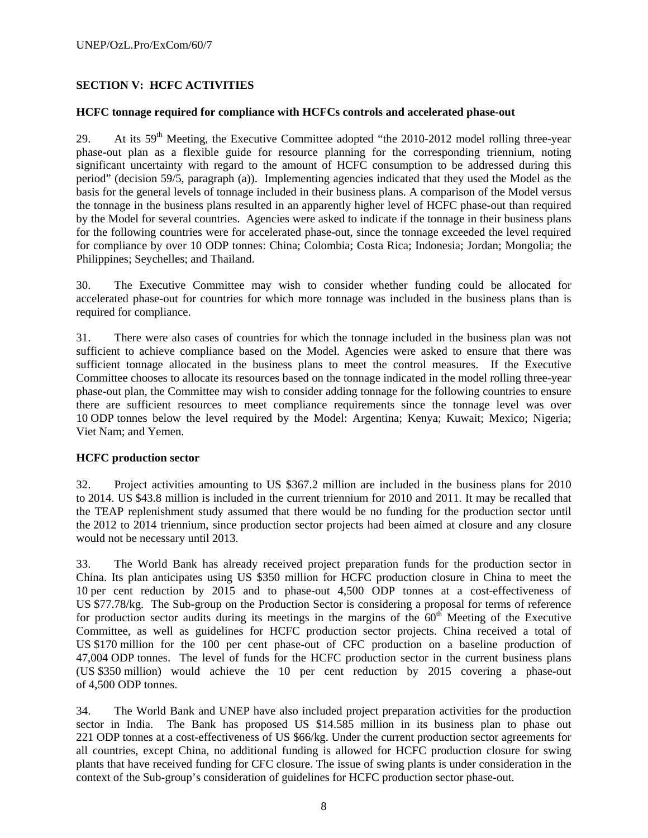## **SECTION V: HCFC ACTIVITIES**

#### **HCFC tonnage required for compliance with HCFCs controls and accelerated phase-out**

29. At its  $59<sup>th</sup>$  Meeting, the Executive Committee adopted "the 2010-2012 model rolling three-year phase-out plan as a flexible guide for resource planning for the corresponding triennium, noting significant uncertainty with regard to the amount of HCFC consumption to be addressed during this period" (decision 59/5, paragraph (a)). Implementing agencies indicated that they used the Model as the basis for the general levels of tonnage included in their business plans. A comparison of the Model versus the tonnage in the business plans resulted in an apparently higher level of HCFC phase-out than required by the Model for several countries. Agencies were asked to indicate if the tonnage in their business plans for the following countries were for accelerated phase-out, since the tonnage exceeded the level required for compliance by over 10 ODP tonnes: China; Colombia; Costa Rica; Indonesia; Jordan; Mongolia; the Philippines; Seychelles; and Thailand.

30. The Executive Committee may wish to consider whether funding could be allocated for accelerated phase-out for countries for which more tonnage was included in the business plans than is required for compliance.

31. There were also cases of countries for which the tonnage included in the business plan was not sufficient to achieve compliance based on the Model. Agencies were asked to ensure that there was sufficient tonnage allocated in the business plans to meet the control measures. If the Executive Committee chooses to allocate its resources based on the tonnage indicated in the model rolling three-year phase-out plan, the Committee may wish to consider adding tonnage for the following countries to ensure there are sufficient resources to meet compliance requirements since the tonnage level was over 10 ODP tonnes below the level required by the Model: Argentina; Kenya; Kuwait; Mexico; Nigeria; Viet Nam; and Yemen.

### **HCFC production sector**

32. Project activities amounting to US \$367.2 million are included in the business plans for 2010 to 2014. US \$43.8 million is included in the current triennium for 2010 and 2011. It may be recalled that the TEAP replenishment study assumed that there would be no funding for the production sector until the 2012 to 2014 triennium, since production sector projects had been aimed at closure and any closure would not be necessary until 2013.

33. The World Bank has already received project preparation funds for the production sector in China. Its plan anticipates using US \$350 million for HCFC production closure in China to meet the 10 per cent reduction by 2015 and to phase-out 4,500 ODP tonnes at a cost-effectiveness of US \$77.78/kg. The Sub-group on the Production Sector is considering a proposal for terms of reference for production sector audits during its meetings in the margins of the  $60<sup>th</sup>$  Meeting of the Executive Committee, as well as guidelines for HCFC production sector projects. China received a total of US \$170 million for the 100 per cent phase-out of CFC production on a baseline production of 47,004 ODP tonnes. The level of funds for the HCFC production sector in the current business plans (US \$350 million) would achieve the 10 per cent reduction by 2015 covering a phase-out of 4,500 ODP tonnes.

34. The World Bank and UNEP have also included project preparation activities for the production sector in India. The Bank has proposed US \$14.585 million in its business plan to phase out 221 ODP tonnes at a cost-effectiveness of US \$66/kg. Under the current production sector agreements for all countries, except China, no additional funding is allowed for HCFC production closure for swing plants that have received funding for CFC closure. The issue of swing plants is under consideration in the context of the Sub-group's consideration of guidelines for HCFC production sector phase-out.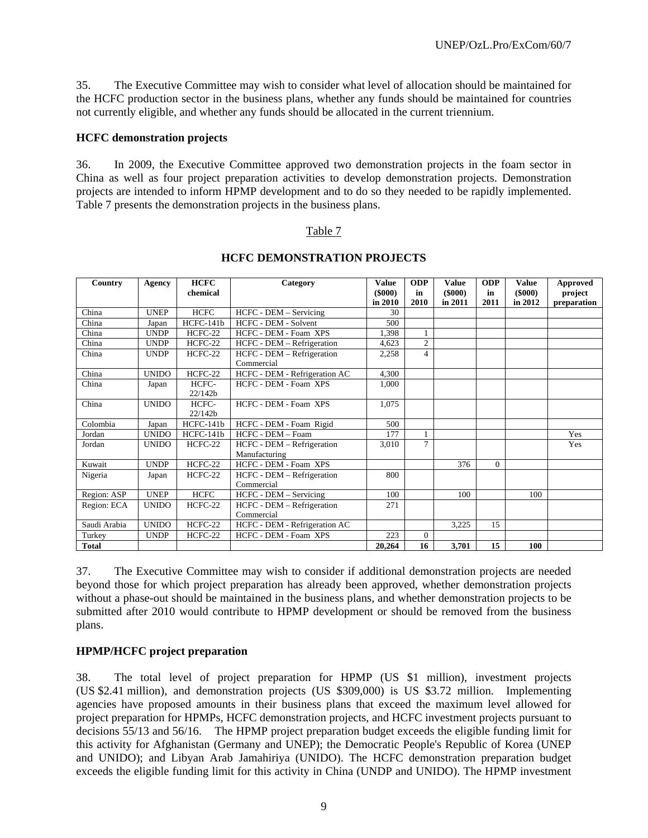35. The Executive Committee may wish to consider what level of allocation should be maintained for the HCFC production sector in the business plans, whether any funds should be maintained for countries not currently eligible, and whether any funds should be allocated in the current triennium.

#### **HCFC demonstration projects**

36. In 2009, the Executive Committee approved two demonstration projects in the foam sector in China as well as four project preparation activities to develop demonstration projects. Demonstration projects are intended to inform HPMP development and to do so they needed to be rapidly implemented. Table 7 presents the demonstration projects in the business plans.

#### Table 7

| Country      | Agency       | <b>HCFC</b> | Category                      | Value   | <b>ODP</b>     | <b>Value</b>  | <b>ODP</b> | <b>Value</b>  | Approved    |
|--------------|--------------|-------------|-------------------------------|---------|----------------|---------------|------------|---------------|-------------|
|              |              | chemical    |                               | (\$000) | in             | $($ \$000 $)$ | in         | $($ \$000 $)$ | project     |
|              |              |             |                               | in 2010 | 2010           | in 2011       | 2011       | in 2012       | preparation |
| China        | <b>UNEP</b>  | <b>HCFC</b> | HCFC - DEM - Servicing        | 30      |                |               |            |               |             |
| China        | Japan        | $HCFC-141b$ | HCFC - DEM - Solvent          | 500     |                |               |            |               |             |
| China        | <b>UNDP</b>  | HCFC-22     | HCFC - DEM - Foam XPS         | 1.398   |                |               |            |               |             |
| China        | <b>UNDP</b>  | HCFC-22     | HCFC - DEM - Refrigeration    | 4,623   | $\overline{c}$ |               |            |               |             |
| China        | <b>UNDP</b>  | HCFC-22     | HCFC - DEM - Refrigeration    | 2,258   | $\overline{4}$ |               |            |               |             |
|              |              |             | Commercial                    |         |                |               |            |               |             |
| China        | <b>UNIDO</b> | HCFC-22     | HCFC - DEM - Refrigeration AC | 4,300   |                |               |            |               |             |
| China        | Japan        | HCFC-       | HCFC - DEM - Foam XPS         | 1,000   |                |               |            |               |             |
|              |              | 22/142b     |                               |         |                |               |            |               |             |
| China        | <b>UNIDO</b> | HCFC-       | HCFC - DEM - Foam XPS         | 1,075   |                |               |            |               |             |
|              |              | 22/142b     |                               |         |                |               |            |               |             |
| Colombia     | Japan        | HCFC-141b   | HCFC - DEM - Foam Rigid       | 500     |                |               |            |               |             |
| Jordan       | <b>UNIDO</b> | HCFC-141b   | HCFC - DEM - Foam             | 177     |                |               |            |               | Yes         |
| Jordan       | <b>UNIDO</b> | HCFC-22     | HCFC - DEM - Refrigeration    | 3,010   | 7              |               |            |               | Yes         |
|              |              |             | Manufacturing                 |         |                |               |            |               |             |
| Kuwait       | <b>UNDP</b>  | HCFC-22     | HCFC - DEM - Foam XPS         |         |                | 376           | $\Omega$   |               |             |
| Nigeria      | Japan        | $HCFC-22$   | HCFC - DEM - Refrigeration    | 800     |                |               |            |               |             |
|              |              |             | Commercial                    |         |                |               |            |               |             |
| Region: ASP  | <b>UNEP</b>  | <b>HCFC</b> | HCFC - DEM - Servicing        | 100     |                | 100           |            | 100           |             |
| Region: ECA  | <b>UNIDO</b> | $HCFC-22$   | HCFC - DEM - Refrigeration    | 271     |                |               |            |               |             |
|              |              |             | Commercial                    |         |                |               |            |               |             |
| Saudi Arabia | <b>UNIDO</b> | HCFC-22     | HCFC - DEM - Refrigeration AC |         |                | 3,225         | 15         |               |             |
| Turkey       | <b>UNDP</b>  | HCFC-22     | HCFC - DEM - Foam XPS         | 223     | $\Omega$       |               |            |               |             |
| <b>Total</b> |              |             |                               | 20,264  | 16             | 3,701         | 15         | 100           |             |

#### **HCFC DEMONSTRATION PROJECTS**

37. The Executive Committee may wish to consider if additional demonstration projects are needed beyond those for which project preparation has already been approved, whether demonstration projects without a phase-out should be maintained in the business plans, and whether demonstration projects to be submitted after 2010 would contribute to HPMP development or should be removed from the business plans.

### **HPMP/HCFC project preparation**

38. The total level of project preparation for HPMP (US \$1 million), investment projects (US \$2.41 million), and demonstration projects (US \$309,000) is US \$3.72 million. Implementing agencies have proposed amounts in their business plans that exceed the maximum level allowed for project preparation for HPMPs, HCFC demonstration projects, and HCFC investment projects pursuant to decisions 55/13 and 56/16. The HPMP project preparation budget exceeds the eligible funding limit for this activity for Afghanistan (Germany and UNEP); the Democratic People's Republic of Korea (UNEP and UNIDO); and Libyan Arab Jamahiriya (UNIDO). The HCFC demonstration preparation budget exceeds the eligible funding limit for this activity in China (UNDP and UNIDO). The HPMP investment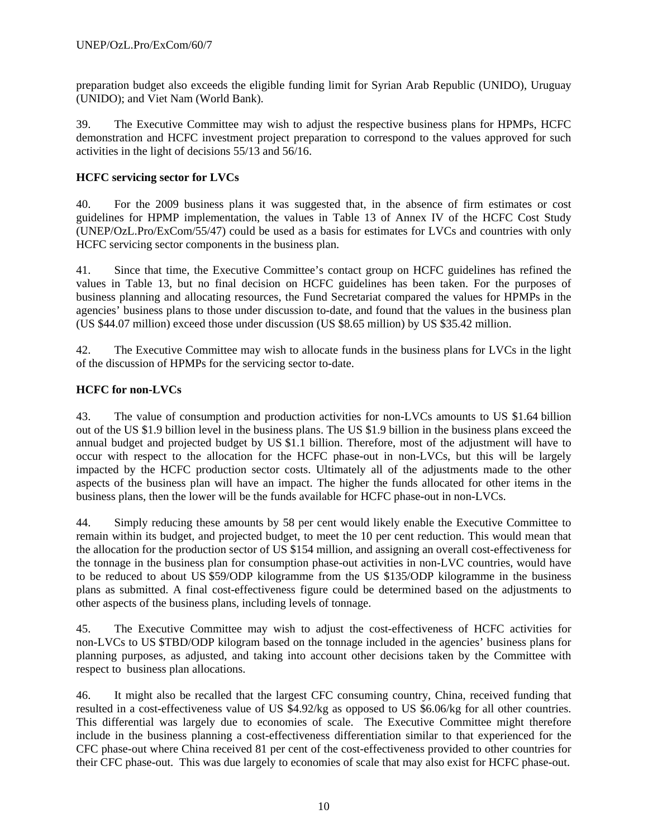preparation budget also exceeds the eligible funding limit for Syrian Arab Republic (UNIDO), Uruguay (UNIDO); and Viet Nam (World Bank).

39. The Executive Committee may wish to adjust the respective business plans for HPMPs, HCFC demonstration and HCFC investment project preparation to correspond to the values approved for such activities in the light of decisions 55/13 and 56/16.

## **HCFC servicing sector for LVCs**

40. For the 2009 business plans it was suggested that, in the absence of firm estimates or cost guidelines for HPMP implementation, the values in Table 13 of Annex IV of the HCFC Cost Study (UNEP/OzL.Pro/ExCom/55/47) could be used as a basis for estimates for LVCs and countries with only HCFC servicing sector components in the business plan.

41. Since that time, the Executive Committee's contact group on HCFC guidelines has refined the values in Table 13, but no final decision on HCFC guidelines has been taken. For the purposes of business planning and allocating resources, the Fund Secretariat compared the values for HPMPs in the agencies' business plans to those under discussion to-date, and found that the values in the business plan (US \$44.07 million) exceed those under discussion (US \$8.65 million) by US \$35.42 million.

42. The Executive Committee may wish to allocate funds in the business plans for LVCs in the light of the discussion of HPMPs for the servicing sector to-date.

## **HCFC for non-LVCs**

43. The value of consumption and production activities for non-LVCs amounts to US \$1.64 billion out of the US \$1.9 billion level in the business plans. The US \$1.9 billion in the business plans exceed the annual budget and projected budget by US \$1.1 billion. Therefore, most of the adjustment will have to occur with respect to the allocation for the HCFC phase-out in non-LVCs, but this will be largely impacted by the HCFC production sector costs. Ultimately all of the adjustments made to the other aspects of the business plan will have an impact. The higher the funds allocated for other items in the business plans, then the lower will be the funds available for HCFC phase-out in non-LVCs.

44. Simply reducing these amounts by 58 per cent would likely enable the Executive Committee to remain within its budget, and projected budget, to meet the 10 per cent reduction. This would mean that the allocation for the production sector of US \$154 million, and assigning an overall cost-effectiveness for the tonnage in the business plan for consumption phase-out activities in non-LVC countries, would have to be reduced to about US \$59/ODP kilogramme from the US \$135/ODP kilogramme in the business plans as submitted. A final cost-effectiveness figure could be determined based on the adjustments to other aspects of the business plans, including levels of tonnage.

45. The Executive Committee may wish to adjust the cost-effectiveness of HCFC activities for non-LVCs to US \$TBD/ODP kilogram based on the tonnage included in the agencies' business plans for planning purposes, as adjusted, and taking into account other decisions taken by the Committee with respect to business plan allocations.

46. It might also be recalled that the largest CFC consuming country, China, received funding that resulted in a cost-effectiveness value of US \$4.92/kg as opposed to US \$6.06/kg for all other countries. This differential was largely due to economies of scale. The Executive Committee might therefore include in the business planning a cost-effectiveness differentiation similar to that experienced for the CFC phase-out where China received 81 per cent of the cost-effectiveness provided to other countries for their CFC phase-out. This was due largely to economies of scale that may also exist for HCFC phase-out.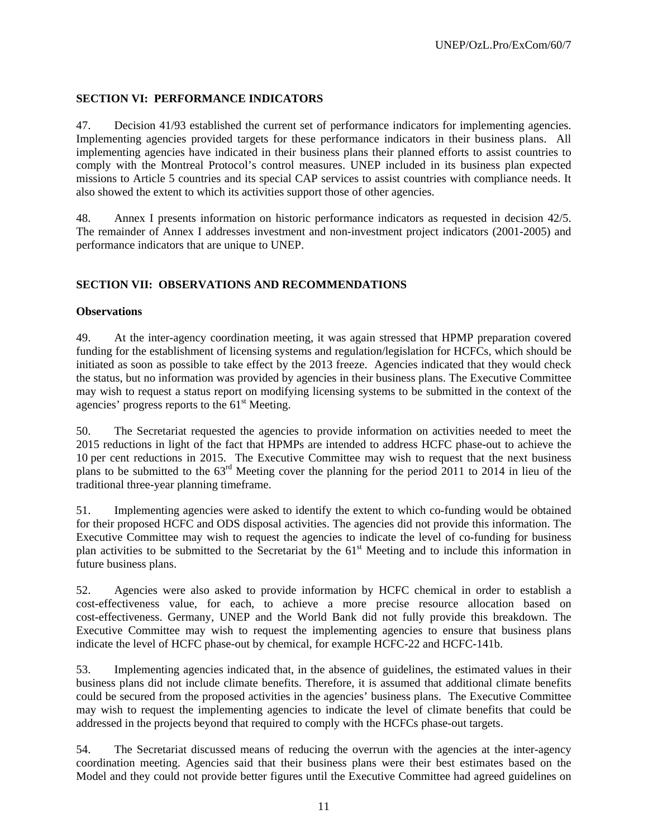## **SECTION VI: PERFORMANCE INDICATORS**

47. Decision 41/93 established the current set of performance indicators for implementing agencies. Implementing agencies provided targets for these performance indicators in their business plans. All implementing agencies have indicated in their business plans their planned efforts to assist countries to comply with the Montreal Protocol's control measures. UNEP included in its business plan expected missions to Article 5 countries and its special CAP services to assist countries with compliance needs. It also showed the extent to which its activities support those of other agencies.

48. Annex I presents information on historic performance indicators as requested in decision 42/5. The remainder of Annex I addresses investment and non-investment project indicators (2001-2005) and performance indicators that are unique to UNEP.

## **SECTION VII: OBSERVATIONS AND RECOMMENDATIONS**

## **Observations**

49. At the inter-agency coordination meeting, it was again stressed that HPMP preparation covered funding for the establishment of licensing systems and regulation/legislation for HCFCs, which should be initiated as soon as possible to take effect by the 2013 freeze. Agencies indicated that they would check the status, but no information was provided by agencies in their business plans. The Executive Committee may wish to request a status report on modifying licensing systems to be submitted in the context of the agencies' progress reports to the  $61<sup>st</sup>$  Meeting.

50. The Secretariat requested the agencies to provide information on activities needed to meet the 2015 reductions in light of the fact that HPMPs are intended to address HCFC phase-out to achieve the 10 per cent reductions in 2015. The Executive Committee may wish to request that the next business plans to be submitted to the 63rd Meeting cover the planning for the period 2011 to 2014 in lieu of the traditional three-year planning timeframe.

51. Implementing agencies were asked to identify the extent to which co-funding would be obtained for their proposed HCFC and ODS disposal activities. The agencies did not provide this information. The Executive Committee may wish to request the agencies to indicate the level of co-funding for business plan activities to be submitted to the Secretariat by the 61<sup>st</sup> Meeting and to include this information in future business plans.

52. Agencies were also asked to provide information by HCFC chemical in order to establish a cost-effectiveness value, for each, to achieve a more precise resource allocation based on cost-effectiveness. Germany, UNEP and the World Bank did not fully provide this breakdown. The Executive Committee may wish to request the implementing agencies to ensure that business plans indicate the level of HCFC phase-out by chemical, for example HCFC-22 and HCFC-141b.

53. Implementing agencies indicated that, in the absence of guidelines, the estimated values in their business plans did not include climate benefits. Therefore, it is assumed that additional climate benefits could be secured from the proposed activities in the agencies' business plans. The Executive Committee may wish to request the implementing agencies to indicate the level of climate benefits that could be addressed in the projects beyond that required to comply with the HCFCs phase-out targets.

54. The Secretariat discussed means of reducing the overrun with the agencies at the inter-agency coordination meeting. Agencies said that their business plans were their best estimates based on the Model and they could not provide better figures until the Executive Committee had agreed guidelines on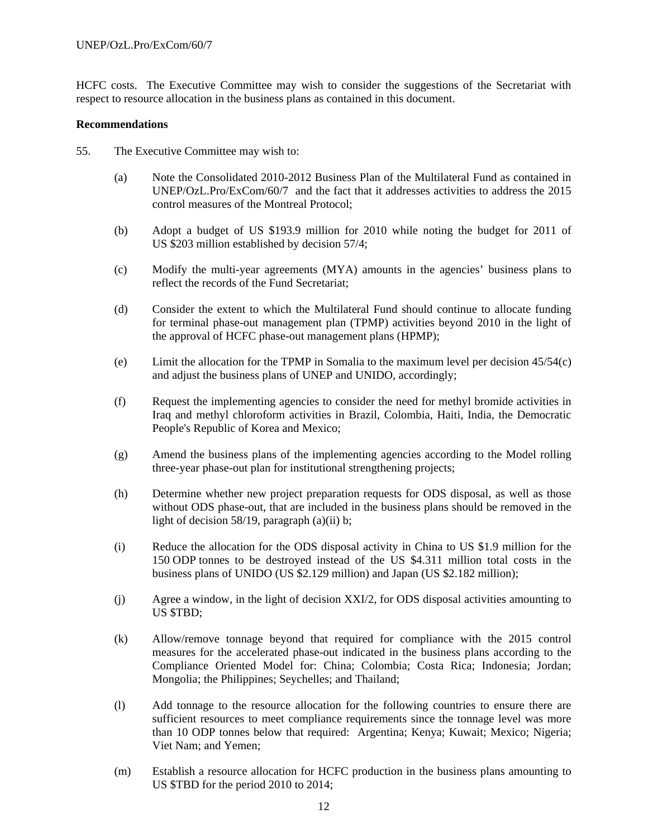HCFC costs. The Executive Committee may wish to consider the suggestions of the Secretariat with respect to resource allocation in the business plans as contained in this document.

#### **Recommendations**

- 55. The Executive Committee may wish to:
	- (a) Note the Consolidated 2010-2012 Business Plan of the Multilateral Fund as contained in UNEP/OzL.Pro/ExCom/60/7 and the fact that it addresses activities to address the 2015 control measures of the Montreal Protocol;
	- (b) Adopt a budget of US \$193.9 million for 2010 while noting the budget for 2011 of US \$203 million established by decision 57/4;
	- (c) Modify the multi-year agreements (MYA) amounts in the agencies' business plans to reflect the records of the Fund Secretariat;
	- (d) Consider the extent to which the Multilateral Fund should continue to allocate funding for terminal phase-out management plan (TPMP) activities beyond 2010 in the light of the approval of HCFC phase-out management plans (HPMP);
	- (e) Limit the allocation for the TPMP in Somalia to the maximum level per decision 45/54(c) and adjust the business plans of UNEP and UNIDO, accordingly;
	- (f) Request the implementing agencies to consider the need for methyl bromide activities in Iraq and methyl chloroform activities in Brazil, Colombia, Haiti, India, the Democratic People's Republic of Korea and Mexico;
	- (g) Amend the business plans of the implementing agencies according to the Model rolling three-year phase-out plan for institutional strengthening projects;
	- (h) Determine whether new project preparation requests for ODS disposal, as well as those without ODS phase-out, that are included in the business plans should be removed in the light of decision 58/19, paragraph  $(a)(ii)$  b;
	- (i) Reduce the allocation for the ODS disposal activity in China to US \$1.9 million for the 150 ODP tonnes to be destroyed instead of the US \$4.311 million total costs in the business plans of UNIDO (US \$2.129 million) and Japan (US \$2.182 million);
	- (j) Agree a window, in the light of decision XXI/2, for ODS disposal activities amounting to US \$TBD;
	- (k) Allow/remove tonnage beyond that required for compliance with the 2015 control measures for the accelerated phase-out indicated in the business plans according to the Compliance Oriented Model for: China; Colombia; Costa Rica; Indonesia; Jordan; Mongolia; the Philippines; Seychelles; and Thailand;
	- (l) Add tonnage to the resource allocation for the following countries to ensure there are sufficient resources to meet compliance requirements since the tonnage level was more than 10 ODP tonnes below that required: Argentina; Kenya; Kuwait; Mexico; Nigeria; Viet Nam; and Yemen;
	- (m) Establish a resource allocation for HCFC production in the business plans amounting to US \$TBD for the period 2010 to 2014;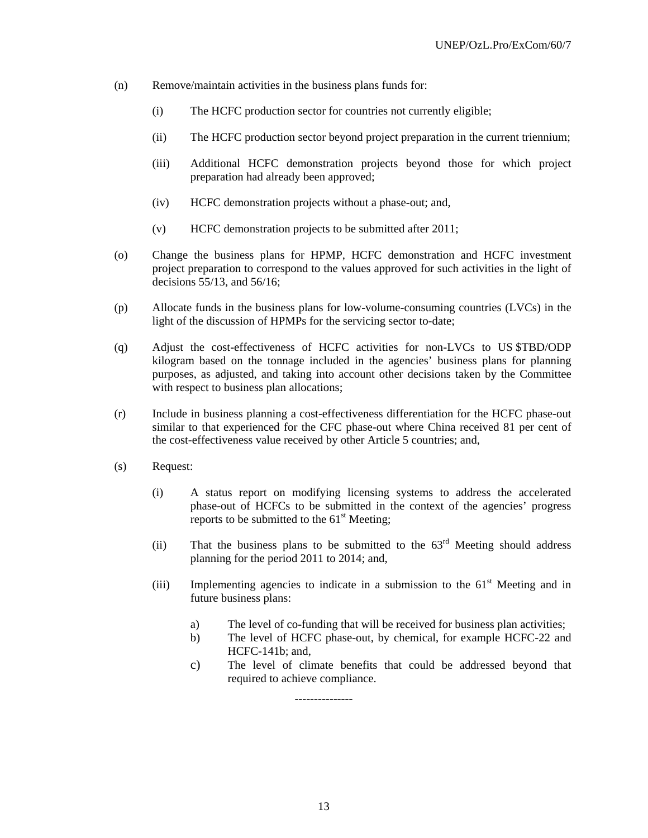- (n) Remove/maintain activities in the business plans funds for:
	- (i) The HCFC production sector for countries not currently eligible;
	- (ii) The HCFC production sector beyond project preparation in the current triennium;
	- (iii) Additional HCFC demonstration projects beyond those for which project preparation had already been approved;
	- (iv) HCFC demonstration projects without a phase-out; and,
	- (v) HCFC demonstration projects to be submitted after 2011;
- (o) Change the business plans for HPMP, HCFC demonstration and HCFC investment project preparation to correspond to the values approved for such activities in the light of decisions 55/13, and 56/16;
- (p) Allocate funds in the business plans for low-volume-consuming countries (LVCs) in the light of the discussion of HPMPs for the servicing sector to-date;
- (q) Adjust the cost-effectiveness of HCFC activities for non-LVCs to US \$TBD/ODP kilogram based on the tonnage included in the agencies' business plans for planning purposes, as adjusted, and taking into account other decisions taken by the Committee with respect to business plan allocations;
- (r) Include in business planning a cost-effectiveness differentiation for the HCFC phase-out similar to that experienced for the CFC phase-out where China received 81 per cent of the cost-effectiveness value received by other Article 5 countries; and,
- (s) Request:
	- (i) A status report on modifying licensing systems to address the accelerated phase-out of HCFCs to be submitted in the context of the agencies' progress reports to be submitted to the  $61<sup>st</sup>$  Meeting:
	- (ii) That the business plans to be submitted to the  $63<sup>rd</sup>$  Meeting should address planning for the period 2011 to 2014; and,
	- (iii) Implementing agencies to indicate in a submission to the  $61<sup>st</sup>$  Meeting and in future business plans:
		- a) The level of co-funding that will be received for business plan activities;
		- b) The level of HCFC phase-out, by chemical, for example HCFC-22 and HCFC-141b; and,
		- c) The level of climate benefits that could be addressed beyond that required to achieve compliance.

---------------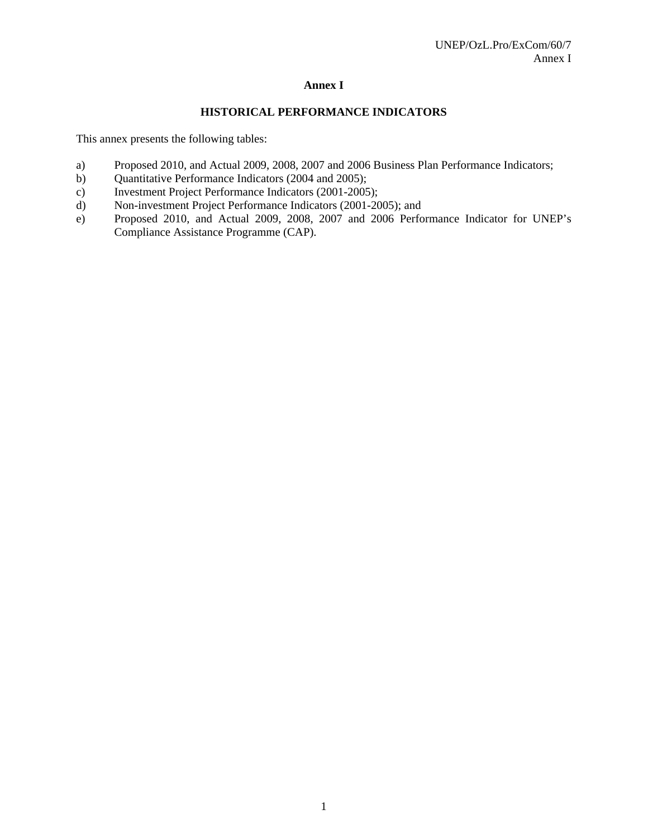## **Annex I**

## **HISTORICAL PERFORMANCE INDICATORS**

This annex presents the following tables:

- a) Proposed 2010, and Actual 2009, 2008, 2007 and 2006 Business Plan Performance Indicators;
- b) Quantitative Performance Indicators (2004 and 2005);
- c) Investment Project Performance Indicators (2001-2005);
- d) Non-investment Project Performance Indicators (2001-2005); and
- e) Proposed 2010, and Actual 2009, 2008, 2007 and 2006 Performance Indicator for UNEP's Compliance Assistance Programme (CAP).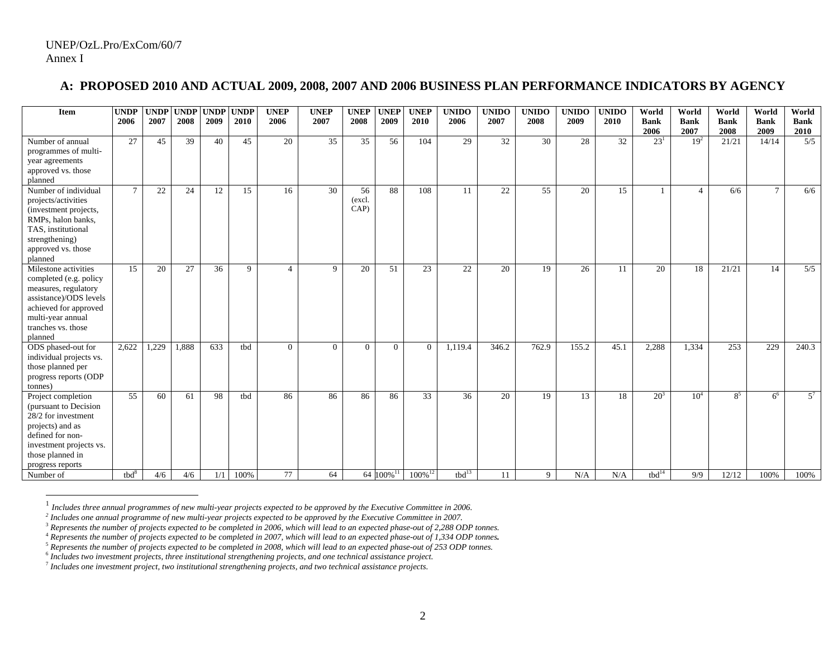## **A: PROPOSED 2010 AND ACTUAL 2009, 2008, 2007 AND 2006 BUSINESS PLAN PERFORMANCE INDICATORS BY AGENCY**

| Item                                                                                                                                                                            | <b>UNDP</b><br>2006 | <b>UNDP</b><br>2007 | <b>UNDP</b><br>2008 | <b>UNDP</b><br>2009 | <b>UNDP</b><br>2010 | <b>UNEP</b><br>2006   | <b>UNEP</b><br>2007 | <b>UNEP</b><br>2008  | <b>UNEP</b><br>2009   | <b>UNEP</b><br>2010   | <b>UNIDO</b><br>2006 | <b>UNIDO</b><br>2007 | <b>UNIDO</b><br>2008 | <b>UNIDO</b><br>2009 | <b>UNIDO</b><br>2010 | World<br><b>Bank</b> | World<br><b>Bank</b> | World<br><b>Bank</b> | World<br><b>Bank</b> | World<br><b>Bank</b> |
|---------------------------------------------------------------------------------------------------------------------------------------------------------------------------------|---------------------|---------------------|---------------------|---------------------|---------------------|-----------------------|---------------------|----------------------|-----------------------|-----------------------|----------------------|----------------------|----------------------|----------------------|----------------------|----------------------|----------------------|----------------------|----------------------|----------------------|
|                                                                                                                                                                                 |                     |                     |                     |                     |                     |                       |                     |                      |                       |                       |                      |                      |                      |                      |                      | 2006                 | 2007                 | 2008                 | 2009                 | 2010                 |
| Number of annual<br>programmes of multi-<br>year agreements<br>approved vs. those<br>planned                                                                                    | 27                  | 45                  | 39                  | 40                  | 45                  | 20                    | $\overline{35}$     | 35                   | 56                    | 104                   | 29                   | $\overline{32}$      | 30                   | 28                   | 32                   | 23 <sup>1</sup>      | 19 <sup>2</sup>      | 21/21                | 14/14                | $\overline{5/5}$     |
| Number of individual<br>projects/activities<br>(investment projects,<br>RMPs, halon banks,<br>TAS, institutional<br>strengthening)<br>approved vs. those<br>planned             | $7\phantom{.0}$     | 22                  | 24                  | 12                  | 15                  | 16                    | 30                  | 56<br>(excl.<br>CAP) | 88                    | 108                   | 11                   | 22                   | 55                   | 20                   | 15                   |                      | $\overline{4}$       | 6/6                  | $\mathcal{I}$        | 6/6                  |
| Milestone activities<br>completed (e.g. policy<br>measures, regulatory<br>assistance)/ODS levels<br>achieved for approved<br>multi-year annual<br>tranches vs. those<br>planned | 15                  | 20                  | 27                  | 36                  | 9                   | $\boldsymbol{\Delta}$ | 9                   | 20                   | 51                    | 23                    | 22                   | 20                   | 19                   | 26                   | 11                   | 20                   | 18                   | 21/21                | 14                   | 5/5                  |
| ODS phased-out for<br>individual projects vs.<br>those planned per<br>progress reports (ODP<br>tonnes)                                                                          | 2,622               | 1,229               | 1,888               | 633                 | tbd                 | $\overline{0}$        | $\overline{0}$      | $\overline{0}$       | $\overline{0}$        | $\overline{0}$        | 1,119.4              | 346.2                | 762.9                | 155.2                | 45.1                 | 2,288                | 1,334                | 253                  | 229                  | 240.3                |
| Project completion<br>(pursuant to Decision)<br>28/2 for investment<br>projects) and as<br>defined for non-<br>investment projects vs.<br>those planned in<br>progress reports  | 55                  | 60                  | 61                  | 98                  | tbd                 | 86                    | 86                  | 86                   | 86                    | 33                    | 36                   | 20                   | 19                   | 13                   | 18                   | 20 <sup>3</sup>      | 10 <sup>4</sup>      | $8^5$                | 6 <sup>6</sup>       | $5^7$                |
| Number of                                                                                                                                                                       | tbd <sup>8</sup>    | 4/6                 | 4/6                 | 1/1                 | 100%                | 77                    | 64                  |                      | 64 100% <sup>11</sup> | $100\%$ <sup>12</sup> | tbd <sup>13</sup>    | 11                   | 9                    | N/A                  | N/A                  | tbd <sup>14</sup>    | 9/9                  | 12/12                | 100%                 | 100%                 |

<sup>1</sup> *Includes three annual programmes of new multi-year projects expected to be approved by the Executive Committee in 2006.* 

*<sup>2</sup> Includes one annual programme of new multi-year projects expected to be approved by the Executive Committee in 2007.* 

<sup>3</sup> *Represents the number of projects expected to be completed in 2006, which will lead to an expected phase-out of 2,288 ODP tonnes.*

<sup>4</sup> *Represents the number of projects expected to be completed in 2007, which will lead to an expected phase-out of 1,334 ODP tonnes.*

<sup>5</sup> *Represents the number of projects expected to be completed in 2008, which will lead to an expected phase-out of 253 ODP tonnes.*

<sup>6</sup> *Includes two investment projects, three institutional strengthening projects, and one technical assistance project.* 

<sup>7</sup> *Includes one investment project, two institutional strengthening projects, and two technical assistance projects.*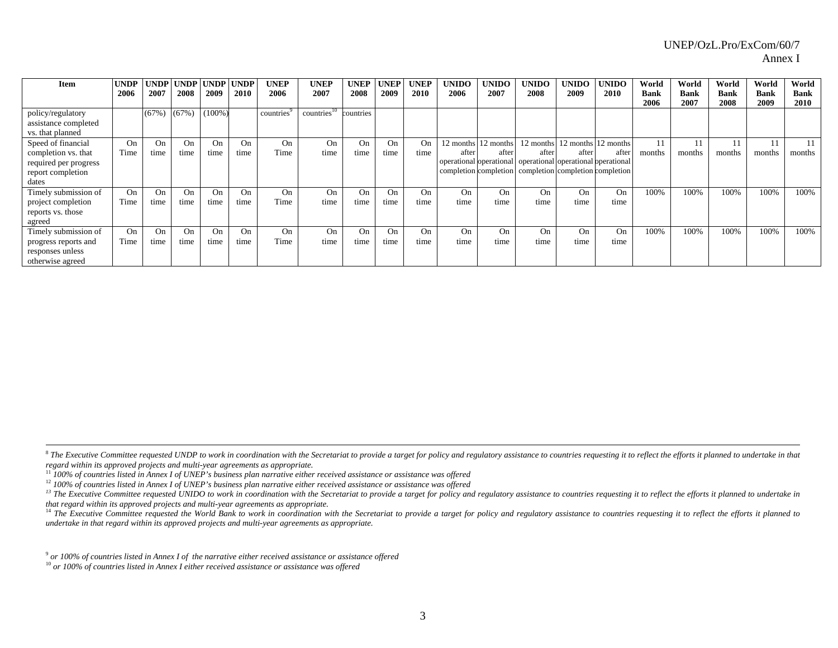| Item                                                          | <b>UNDP</b> | <b>UNDP</b> | <b>UNDP</b> | <b>UNDP</b> | <b>UNDP</b> | <b>UNEP</b> | <b>UNEP</b>             | <b>UNEP</b> | UNEP | <b>UNEP</b> | <b>UNIDO</b> | <b>UNIDO</b>        | <b>UNIDO</b>                                                                                                            | <b>UNIDO</b> | UNIDO               | World               | World               | World               | World               | World               |
|---------------------------------------------------------------|-------------|-------------|-------------|-------------|-------------|-------------|-------------------------|-------------|------|-------------|--------------|---------------------|-------------------------------------------------------------------------------------------------------------------------|--------------|---------------------|---------------------|---------------------|---------------------|---------------------|---------------------|
|                                                               | 2006        | 2007        | 2008        | 2009        | 2010        | 2006        | 2007                    | 2008        | 2009 | 2010        | 2006         | 2007                | 2008                                                                                                                    | 2009         | 2010                | <b>Bank</b><br>2006 | <b>Bank</b><br>2007 | <b>Bank</b><br>2008 | <b>Bank</b><br>2009 | <b>Bank</b><br>2010 |
| policy/regulatory<br>assistance completed<br>vs. that planned |             | (67%)       | (67%        | $(100\%)$   |             | countries   | countries <sup>10</sup> | countries   |      |             |              |                     |                                                                                                                         |              |                     |                     |                     |                     |                     |                     |
| Speed of financial                                            | On          | On          | <b>Op</b>   | On          | On          | On          | On                      | On          | On   | On          |              | 12 months 12 months | 12 months                                                                                                               |              | 12 months 12 months |                     | 11                  |                     |                     |                     |
| completion vs. that                                           | Time        | time        | time        | time        | time        | Time        | time                    | time        | time | time        | after        | after               | after                                                                                                                   | after        | after               | months              | months              | months              | months              | months              |
| required per progress<br>report completion                    |             |             |             |             |             |             |                         |             |      |             |              |                     | operational operational   operational operational pperational<br>completion completion completion completion completion |              |                     |                     |                     |                     |                     |                     |
| dates<br>Timely submission of                                 | On          | <b>On</b>   | On          | On          | On          | On          | On                      | On          | On   | On          | On           | On                  | On                                                                                                                      | On           | On                  | 100%                | 100%                | 100%                | 100%                | 100%                |
| project completion<br>reports vs. those<br>agreed             | Time        | time        | time        | time        | time        | Time        | time                    | time        | time | time        | time         | time                | time                                                                                                                    | time         | time                |                     |                     |                     |                     |                     |
| Timely submission of                                          | On          | On.         | On          | On          | On          | On          | On                      | On          | On   | On          | On           | On                  | On                                                                                                                      | On           | On                  | 100%                | 100%                | 100%                | 100%                | 100%                |
| progress reports and<br>responses unless<br>otherwise agreed  | Time        | time        | time        | time        | time        | Time        | time                    | time        | time | time        | time         | time                | time                                                                                                                    | time         | time                |                     |                     |                     |                     |                     |

 $\!8$  The Executive Committee requested UNDP to work in coordination with the Secretariat to provide a target for policy and regulatory assistance to countries requesting it to reflect the efforts it planned to undertake *regard within its approved projects and multi-year agreements as appropriate.* 

<sup>11</sup> 100% of countries listed in Annex I of UNEP's business plan narrative either received assistance or assistance was offered<br><sup>12</sup> 100% of countries listed in Annex I of UNEP's business plan narrative either received ass

 $^{13}$  The Executive Committee requested UNIDO to work in coordination with the Secretariat to provide a target for policy and regulatory assistance to countries requesting it to reflect the efforts it planned to undertak *that regard within its approved projects and multi-year agreements as appropriate.* 

 $^{14}$  The Executive Committee requested the World Bank to work in coordination with the Secretariat to provide a target for policy and regulatory assistance to countries requesting it to reflect the efforts it planned to *undertake in that regard within its approved projects and multi-year agreements as appropriate.*

9 *or 100% of countries listed in Annex I of the narrative either received assistance or assistance offered* 

10 *or 100% of countries listed in Annex I either received assistance or assistance was offered*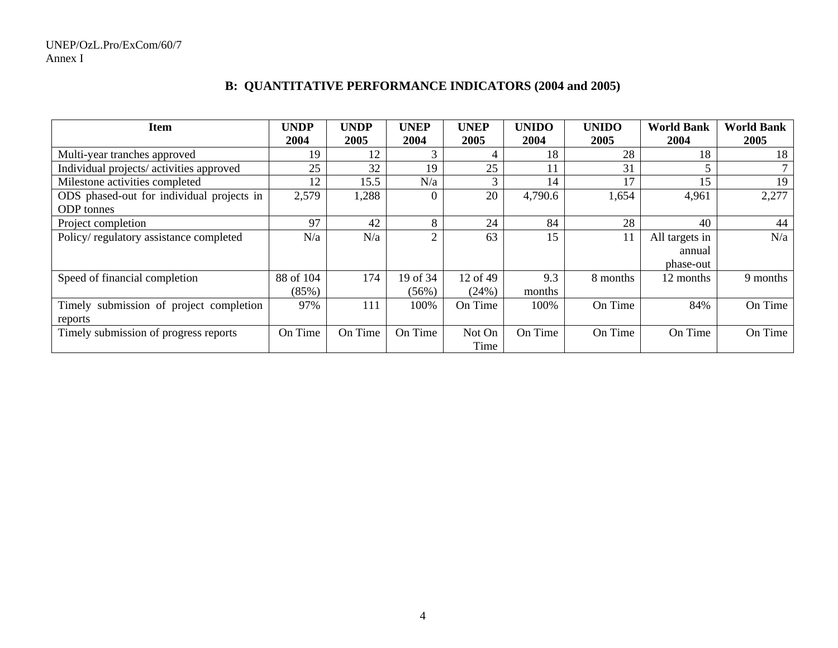# **B: QUANTITATIVE PERFORMANCE INDICATORS (2004 and 2005)**

| <b>Item</b>                               | <b>UNDP</b> | <b>UNDP</b> | <b>UNEP</b>    | <b>UNEP</b> | <b>UNIDO</b> | <b>UNIDO</b> | <b>World Bank</b> | <b>World Bank</b> |
|-------------------------------------------|-------------|-------------|----------------|-------------|--------------|--------------|-------------------|-------------------|
|                                           | 2004        | 2005        | 2004           | 2005        | 2004         | 2005         | 2004              | 2005              |
| Multi-year tranches approved              | 19          | 12          | 3              |             | 18           | 28           | 18                | 18                |
| Individual projects/activities approved   | 25          | 32          | 19             | 25          | 11           | 31           |                   |                   |
| Milestone activities completed            | 12          | 15.5        | N/a            | 3           | 14           | 17           | 15                | 19                |
| ODS phased-out for individual projects in | 2,579       | 1,288       | 0              | 20          | 4,790.6      | 1,654        | 4,961             | 2,277             |
| <b>ODP</b> tonnes                         |             |             |                |             |              |              |                   |                   |
| Project completion                        | 97          | 42          | 8              | 24          | 84           | 28           | 40                | 44                |
| Policy/regulatory assistance completed    | N/a         | N/a         | $\overline{2}$ | 63          | 15           | 11           | All targets in    | N/a               |
|                                           |             |             |                |             |              |              | annual            |                   |
|                                           |             |             |                |             |              |              | phase-out         |                   |
| Speed of financial completion             | 88 of 104   | 174         | 19 of 34       | 12 of 49    | 9.3          | 8 months     | 12 months         | 9 months          |
|                                           | (85%)       |             | (56%)          | (24%)       | months       |              |                   |                   |
| Timely submission of project completion   | 97%         | 111         | 100%           | On Time     | 100%         | On Time      | 84%               | On Time           |
| reports                                   |             |             |                |             |              |              |                   |                   |
| Timely submission of progress reports     | On Time     | On Time     | On Time        | Not On      | On Time      | On Time      | On Time           | On Time           |
|                                           |             |             |                | Time        |              |              |                   |                   |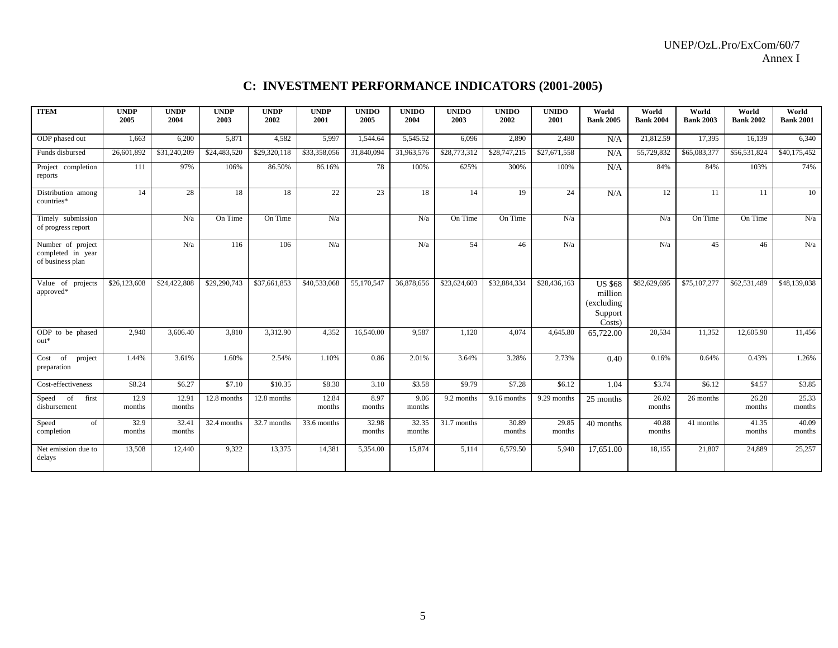#### UNEP/OzL.Pro/ExCom/60/7 Annex I

# **C: INVESTMENT PERFORMANCE INDICATORS (2001-2005)**

| <b>ITEM</b>                                                | <b>UNDP</b><br>2005 | <b>UNDP</b><br>2004 | <b>UNDP</b><br>2003      | <b>UNDP</b><br>2002 | <b>UNDP</b><br>2001 | <b>UNIDO</b><br>2005 | <b>UNIDO</b><br>2004 | <b>UNIDO</b><br>2003 | <b>UNIDO</b><br>2002 | <b>UNIDO</b><br>2001 | World<br><b>Bank 2005</b>                                    | World<br><b>Bank 2004</b> | World<br><b>Bank 2003</b> | World<br><b>Bank 2002</b> | World<br><b>Bank 2001</b> |
|------------------------------------------------------------|---------------------|---------------------|--------------------------|---------------------|---------------------|----------------------|----------------------|----------------------|----------------------|----------------------|--------------------------------------------------------------|---------------------------|---------------------------|---------------------------|---------------------------|
| ODP phased out                                             | 1,663               | 6,200               | 5,871                    | 4,582               | 5,997               | 1,544.64             | 5,545.52             | 6,096                | 2,890                | 2,480                | N/A                                                          | 21,812.59                 | 17,395                    | 16,139                    | 6,340                     |
| Funds disbursed                                            | 26,601,892          | \$31,240,209        | \$24,483,520             | \$29,320,118        | \$33,358,056        | 31,840,094           | 31,963,576           | \$28,773,312         | \$28,747,215         | \$27,671,558         | N/A                                                          | 55,729,832                | \$65,083,377              | \$56,531,824              | \$40,175,452              |
| Project completion<br>reports                              | 111                 | 97%                 | 106%                     | 86.50%              | 86.16%              | 78                   | 100%                 | 625%                 | 300%                 | 100%                 | N/A                                                          | 84%                       | 84%                       | 103%                      | 74%                       |
| Distribution among<br>countries*                           | 14                  | 28                  | 18                       | 18                  | 22                  | 23                   | 18                   | 14                   | 19                   | 24                   | N/A                                                          | 12                        | 11                        | 11                        | 10                        |
| Timely submission<br>of progress report                    |                     | N/a                 | On Time                  | On Time             | N/a                 |                      | N/a                  | On Time              | On Time              | N/a                  |                                                              | N/a                       | On Time                   | On Time                   | N/a                       |
| Number of project<br>completed in year<br>of business plan |                     | N/a                 | 116                      | 106                 | N/a                 |                      | N/a                  | 54                   | 46                   | N/a                  |                                                              | N/a                       | 45                        | 46                        | N/a                       |
| Value of projects<br>approved*                             | \$26,123,608        | \$24,422,808        | \$29,290,743             | \$37,661,853        | \$40,533,068        | 55,170,547           | 36,878,656           | \$23,624,603         | \$32,884,334         | \$28,436,163         | <b>US \$68</b><br>million<br>(excluding<br>Support<br>Costs) | \$82,629,695              | \$75,107,277              | \$62,531,489              | \$48,139,038              |
| ODP to be phased<br>$out*$                                 | 2,940               | 3,606.40            | 3,810                    | 3,312.90            | 4,352               | 16,540.00            | 9,587                | 1,120                | 4,074                | 4,645.80             | 65,722.00                                                    | 20,534                    | 11,352                    | 12,605.90                 | 11,456                    |
| $\overline{of}$ project<br>Cost<br>preparation             | 1.44%               | 3.61%               | 1.60%                    | 2.54%               | 1.10%               | 0.86                 | 2.01%                | 3.64%                | 3.28%                | 2.73%                | 0.40                                                         | 0.16%                     | 0.64%                     | 0.43%                     | 1.26%                     |
| Cost-effectiveness                                         | \$8.24              | \$6.27              | \$7.10                   | \$10.35             | \$8.30              | 3.10                 | \$3.58               | \$9.79               | \$7.28               | \$6.12               | 1.04                                                         | \$3.74                    | \$6.12                    | \$4.57                    | \$3.85                    |
| Speed<br>of<br>first<br>disbursement                       | 12.9<br>months      | 12.91<br>months     | 12.8 months              | 12.8 months         | 12.84<br>months     | 8.97<br>months       | 9.06<br>months       | 9.2 months           | 9.16 months          | 9.29 months          | 25 months                                                    | 26.02<br>months           | 26 months                 | 26.28<br>months           | 25.33<br>months           |
| Speed<br>of<br>completion                                  | 32.9<br>months      | 32.41<br>months     | $\overline{32.4}$ months | 32.7 months         | 33.6 months         | 32.98<br>months      | 32.35<br>months      | 31.7 months          | 30.89<br>months      | 29.85<br>months      | 40 months                                                    | 40.88<br>months           | 41 months                 | 41.35<br>months           | 40.09<br>months           |
| Net emission due to<br>delays                              | 13,508              | 12,440              | 9,322                    | 13,375              | 14,381              | 5,354.00             | 15,874               | 5,114                | 6,579.50             | 5,940                | 17,651.00                                                    | 18,155                    | 21,807                    | 24,889                    | 25,257                    |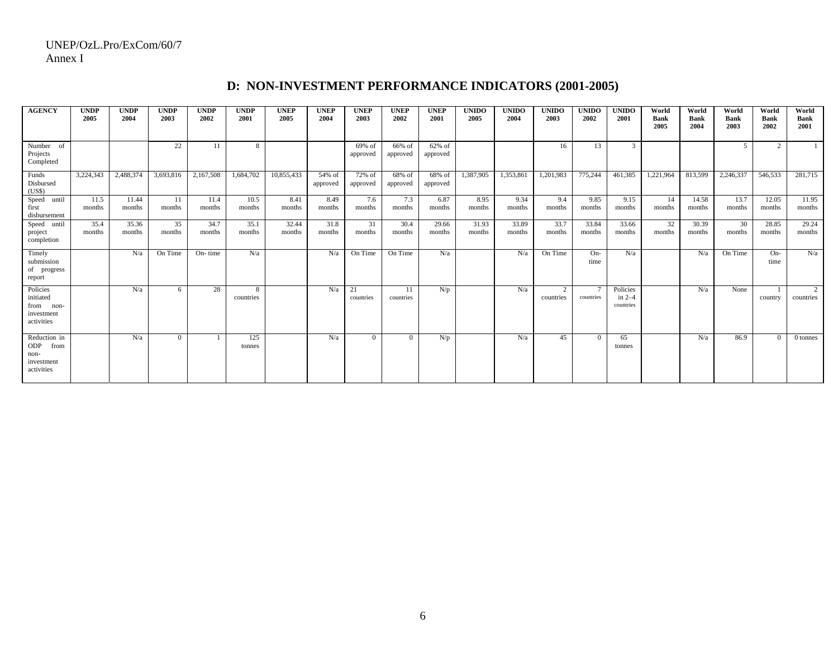| <b>AGENCY</b>                                                     | <b>UNDP</b><br>2005 | <b>UNDP</b><br>2004 | <b>UNDP</b><br>2003 | <b>UNDP</b><br>2002 | <b>UNDP</b><br>2001 | <b>UNEP</b><br>2005 | <b>UNEP</b><br>2004 | <b>UNEP</b><br>2003 | <b>UNEP</b><br>2002 | <b>UNEP</b><br>2001 | <b>UNIDO</b><br>2005 | <b>UNIDO</b><br>2004 | <b>UNIDO</b><br>2003 | <b>UNIDO</b><br>2002 | <b>UNIDO</b><br>2001              | World<br><b>Bank</b><br>2005 | World<br><b>Bank</b><br>2004 | World<br><b>Bank</b><br>2003 | World<br>Bank<br>2002 | World<br>Bank<br>2001       |
|-------------------------------------------------------------------|---------------------|---------------------|---------------------|---------------------|---------------------|---------------------|---------------------|---------------------|---------------------|---------------------|----------------------|----------------------|----------------------|----------------------|-----------------------------------|------------------------------|------------------------------|------------------------------|-----------------------|-----------------------------|
| Number of<br>Projects<br>Completed                                |                     |                     | 22                  | 11                  | 8                   |                     |                     | 69% of<br>approved  | 66% of<br>approved  | 62% of<br>approved  |                      |                      | 16                   | 13                   | 3                                 |                              |                              | .5                           | 2                     |                             |
| Funds<br>Disbursed<br>(US\$)                                      | 3,224,343           | 2,488,374           | 3,693,816           | 2,167,508           | 1,684,702           | 10,855,433          | 54% of<br>approved  | 72% of<br>approved  | 68% of<br>approved  | 68% of<br>approved  | 1,387,905            | 1,353,861            | 1,201,983            | 775,244              | 461,385                           | 1,221,964                    | 813,599                      | 2,246,337                    | 546,533               | 281,715                     |
| Speed<br>until<br>first<br>disbursement                           | 11.5<br>months      | 11.44<br>months     | 11<br>months        | 11.4<br>months      | 10.5<br>months      | 8.41<br>months      | 8.49<br>months      | 7.6<br>months       | 7.3<br>months       | 6.87<br>months      | 8.95<br>months       | 9.34<br>months       | 9.4<br>months        | 9.85<br>months       | 9.15<br>months                    | 14<br>months                 | 14.58<br>months              | 13.7<br>months               | 12.05<br>months       | 11.95<br>months             |
| Speed<br>until<br>project<br>completion                           | 35.4<br>months      | 35.36<br>months     | 35<br>months        | 34.7<br>months      | 35.1<br>months      | 32.44<br>months     | 31.8<br>months      | 31<br>months        | 30.4<br>months      | 29.66<br>months     | 31.93<br>months      | 33.89<br>months      | 33.7<br>months       | 33.84<br>months      | 33.66<br>months                   | 32<br>months                 | 30.39<br>months              | 30<br>months                 | 28.85<br>months       | 29.24<br>months             |
| Timely<br>submission<br>of progress<br>report                     |                     | N/a                 | On Time             | On-time             | N/a                 |                     | N/a                 | On Time             | On Time             | N/a                 |                      | N/a                  | On Time              | On-<br>time          | N/a                               |                              | N/a                          | On Time                      | $On-$<br>time         | N/a                         |
| Policies<br>initiated<br>from<br>non-<br>investment<br>activities |                     | N/a                 | 6                   | 28                  | 8<br>countries      |                     | N/a                 | 21<br>countries     | 11<br>countries     | N/p                 |                      | N/a                  | 2<br>countries       | countries            | Policies<br>in $2-4$<br>countries |                              | N/a                          | None                         | country               | $\overline{2}$<br>countries |
| Reduction in<br>ODP<br>from<br>non-<br>investment<br>activities   |                     | N/a                 | $\Omega$            |                     | 125<br>tonnes       |                     | N/a                 | $\Omega$            | $\Omega$            | N/p                 |                      | N/a                  | 45                   |                      | 65<br>tonnes                      |                              | N/a                          | 86.9                         | $\Omega$              | 0 tonnes                    |

# **D: NON-INVESTMENT PERFORMANCE INDICATORS (2001-2005)**